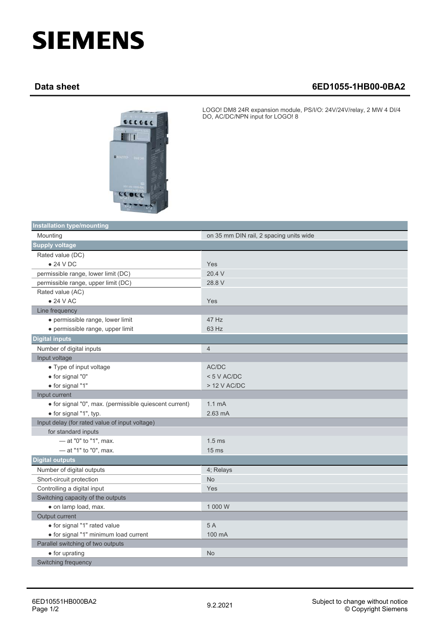## **SIEMENS**

## **Data sheet 6ED1055-1HB00-0BA2**



LOGO! DM8 24R expansion module, PS/I/O: 24V/24V/relay, 2 MW 4 DI/4 DO, AC/DC/NPN input for LOGO! 8

| <b>Installation type/mounting</b>                      |                                         |
|--------------------------------------------------------|-----------------------------------------|
| Mounting                                               | on 35 mm DIN rail, 2 spacing units wide |
| <b>Supply voltage</b>                                  |                                         |
| Rated value (DC)                                       |                                         |
| $\bullet$ 24 V DC                                      | Yes                                     |
| permissible range, lower limit (DC)                    | 20.4 V                                  |
| permissible range, upper limit (DC)                    | 28.8 V                                  |
| Rated value (AC)                                       |                                         |
| • 24 V AC                                              | Yes                                     |
| Line frequency                                         |                                         |
| · permissible range, lower limit                       | 47 Hz                                   |
| · permissible range, upper limit                       | 63 Hz                                   |
| <b>Digital inputs</b>                                  |                                         |
| Number of digital inputs                               | $\overline{4}$                          |
| Input voltage                                          |                                         |
| • Type of input voltage                                | AC/DC                                   |
| · for signal "0"                                       | < 5 V AC/DC                             |
| · for signal "1"                                       | $>$ 12 V AC/DC                          |
| Input current                                          |                                         |
| · for signal "0", max. (permissible quiescent current) | 1.1 <sub>mA</sub>                       |
| • for signal "1", typ.                                 | $2.63 \text{ mA}$                       |
| Input delay (for rated value of input voltage)         |                                         |
| for standard inputs                                    |                                         |
| - at "0" to "1", max.                                  | 1.5 <sub>ms</sub>                       |
| - at "1" to "0", max.                                  | 15 <sub>ms</sub>                        |
| <b>Digital outputs</b>                                 |                                         |
| Number of digital outputs                              | 4; Relays                               |
| Short-circuit protection                               | <b>No</b>                               |
| Controlling a digital input                            | Yes                                     |
| Switching capacity of the outputs                      |                                         |
| · on lamp load, max.                                   | 1 000 W                                 |
| Output current                                         |                                         |
| · for signal "1" rated value                           | 5A                                      |
| · for signal "1" minimum load current                  | 100 mA                                  |
| Parallel switching of two outputs                      |                                         |
| • for uprating                                         | <b>No</b>                               |
| Switching frequency                                    |                                         |